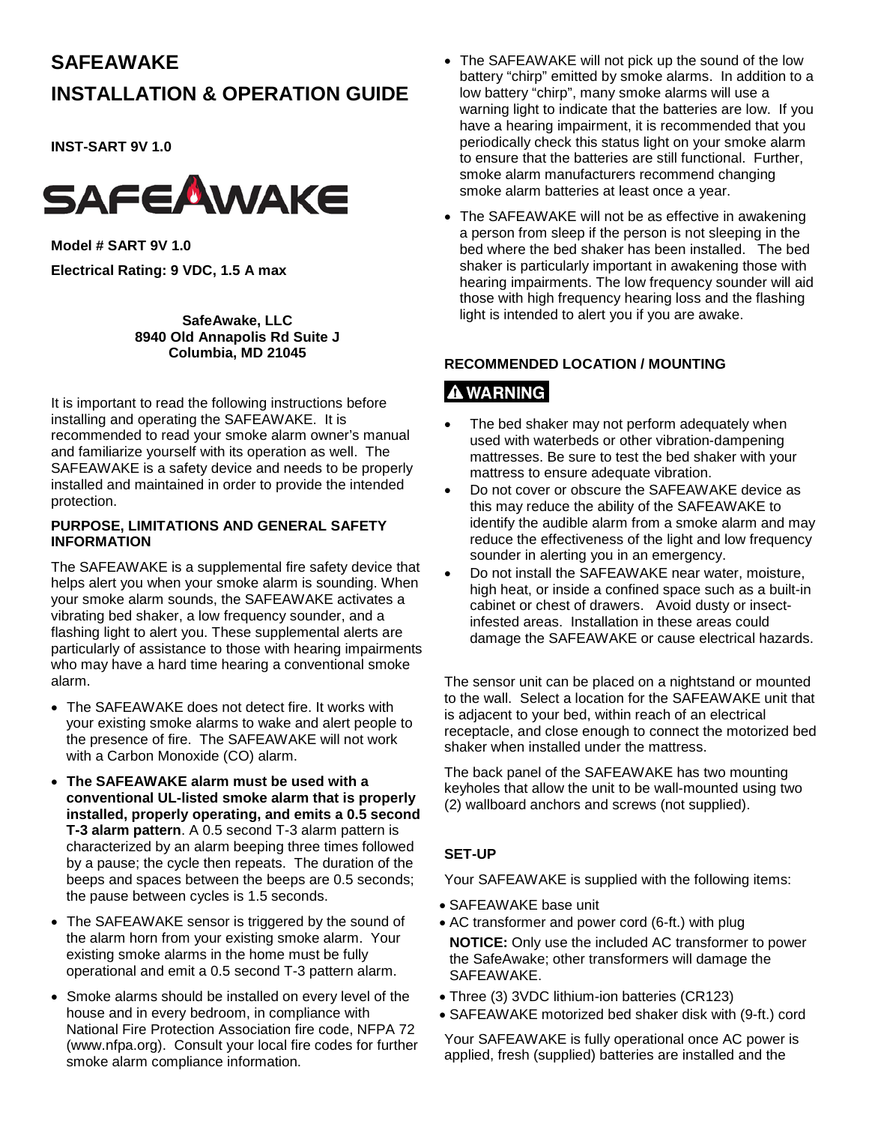# **SAFEAWAKE**

# **INSTALLATION & OPERATION GUIDE**

**INST-SART 9V 1.0**



**Model # SART 9V 1.0 Electrical Rating: 9 VDC, 1.5 A max**

> **SafeAwake, LLC 8940 Old Annapolis Rd Suite J Columbia, MD 21045**

It is important to read the following instructions before installing and operating the SAFEAWAKE. It is recommended to read your smoke alarm owner's manual and familiarize yourself with its operation as well. The SAFEAWAKE is a safety device and needs to be properly installed and maintained in order to provide the intended protection.

#### **PURPOSE, LIMITATIONS AND GENERAL SAFETY INFORMATION**

The SAFEAWAKE is a supplemental fire safety device that helps alert you when your smoke alarm is sounding. When your smoke alarm sounds, the SAFEAWAKE activates a vibrating bed shaker, a low frequency sounder, and a flashing light to alert you. These supplemental alerts are particularly of assistance to those with hearing impairments who may have a hard time hearing a conventional smoke alarm.

- The SAFEAWAKE does not detect fire. It works with your existing smoke alarms to wake and alert people to the presence of fire. The SAFEAWAKE will not work with a Carbon Monoxide (CO) alarm.
- **The SAFEAWAKE alarm must be used with a conventional UL-listed smoke alarm that is properly installed, properly operating, and emits a 0.5 second T-3 alarm pattern**. A 0.5 second T-3 alarm pattern is characterized by an alarm beeping three times followed by a pause; the cycle then repeats. The duration of the beeps and spaces between the beeps are 0.5 seconds; the pause between cycles is 1.5 seconds.
- The SAFEAWAKE sensor is triggered by the sound of the alarm horn from your existing smoke alarm. Your existing smoke alarms in the home must be fully operational and emit a 0.5 second T-3 pattern alarm.
- Smoke alarms should be installed on every level of the house and in every bedroom, in compliance with National Fire Protection Association fire code, NFPA 72 (www.nfpa.org). Consult your local fire codes for further smoke alarm compliance information.
- The SAFEAWAKE will not pick up the sound of the low battery "chirp" emitted by smoke alarms. In addition to a low battery "chirp", many smoke alarms will use a warning light to indicate that the batteries are low. If you have a hearing impairment, it is recommended that you periodically check this status light on your smoke alarm to ensure that the batteries are still functional. Further, smoke alarm manufacturers recommend changing smoke alarm batteries at least once a year.
- The SAFEAWAKE will not be as effective in awakening a person from sleep if the person is not sleeping in the bed where the bed shaker has been installed. The bed shaker is particularly important in awakening those with hearing impairments. The low frequency sounder will aid those with high frequency hearing loss and the flashing light is intended to alert you if you are awake.

# **RECOMMENDED LOCATION / MOUNTING**

# **A WARNING**

- The bed shaker may not perform adequately when used with waterbeds or other vibration-dampening mattresses. Be sure to test the bed shaker with your mattress to ensure adequate vibration.
- Do not cover or obscure the SAFEAWAKE device as this may reduce the ability of the SAFEAWAKE to identify the audible alarm from a smoke alarm and may reduce the effectiveness of the light and low frequency sounder in alerting you in an emergency.
- Do not install the SAFEAWAKE near water, moisture, high heat, or inside a confined space such as a built-in cabinet or chest of drawers. Avoid dusty or insectinfested areas. Installation in these areas could damage the SAFEAWAKE or cause electrical hazards.

The sensor unit can be placed on a nightstand or mounted to the wall. Select a location for the SAFEAWAKE unit that is adjacent to your bed, within reach of an electrical receptacle, and close enough to connect the motorized bed shaker when installed under the mattress.

The back panel of the SAFEAWAKE has two mounting keyholes that allow the unit to be wall-mounted using two (2) wallboard anchors and screws (not supplied).

# **SET-UP**

Your SAFEAWAKE is supplied with the following items:

- SAFEAWAKE base unit
- AC transformer and power cord (6-ft.) with plug **NOTICE:** Only use the included AC transformer to power the SafeAwake; other transformers will damage the SAFEAWAKE.
- Three (3) 3VDC lithium-ion batteries (CR123)
- SAFEAWAKE motorized bed shaker disk with (9-ft.) cord

Your SAFEAWAKE is fully operational once AC power is applied, fresh (supplied) batteries are installed and the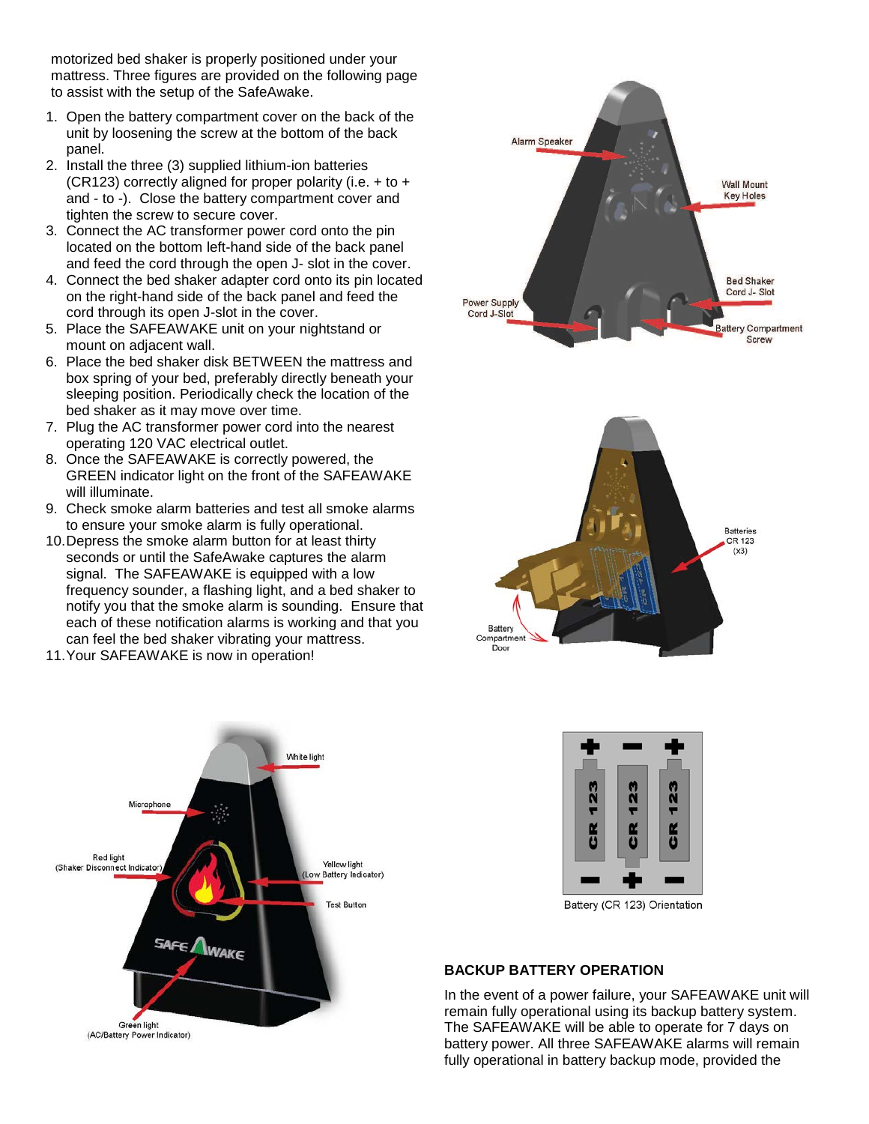motorized bed shaker is properly positioned under your mattress. Three figures are provided on the following page to assist with the setup of the SafeAwake.

- 1. Open the battery compartment cover on the back of the unit by loosening the screw at the bottom of the back panel.
- 2. Install the three (3) supplied lithium-ion batteries (CR123) correctly aligned for proper polarity (i.e.  $+$  to  $+$ and - to -). Close the battery compartment cover and tighten the screw to secure cover.
- 3. Connect the AC transformer power cord onto the pin located on the bottom left-hand side of the back panel and feed the cord through the open J- slot in the cover.
- 4. Connect the bed shaker adapter cord onto its pin located on the right-hand side of the back panel and feed the cord through its open J-slot in the cover.
- 5. Place the SAFEAWAKE unit on your nightstand or mount on adjacent wall.
- 6. Place the bed shaker disk BETWEEN the mattress and box spring of your bed, preferably directly beneath your sleeping position. Periodically check the location of the bed shaker as it may move over time.
- 7. Plug the AC transformer power cord into the nearest operating 120 VAC electrical outlet.
- 8. Once the SAFEAWAKE is correctly powered, the GREEN indicator light on the front of the SAFEAWAKE will illuminate.
- 9. Check smoke alarm batteries and test all smoke alarms to ensure your smoke alarm is fully operational.
- 10.Depress the smoke alarm button for at least thirty seconds or until the SafeAwake captures the alarm signal. The SAFEAWAKE is equipped with a low frequency sounder, a flashing light, and a bed shaker to notify you that the smoke alarm is sounding. Ensure that each of these notification alarms is working and that you can feel the bed shaker vibrating your mattress.
- 11.Your SAFEAWAKE is now in operation!









Battery (CR 123) Orientation

### **BACKUP BATTERY OPERATION**

In the event of a power failure, your SAFEAWAKE unit will remain fully operational using its backup battery system. The SAFEAWAKE will be able to operate for 7 days on battery power. All three SAFEAWAKE alarms will remain fully operational in battery backup mode, provided the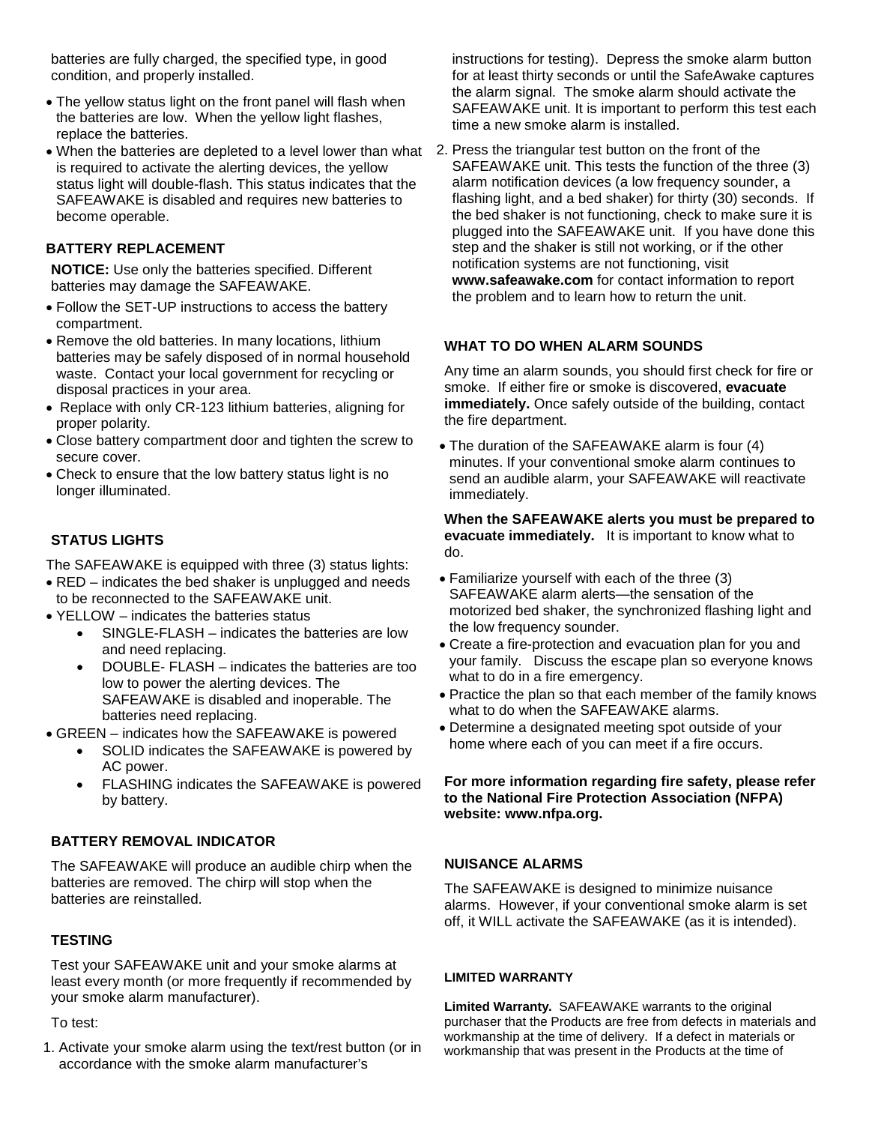batteries are fully charged, the specified type, in good condition, and properly installed.

- The yellow status light on the front panel will flash when the batteries are low. When the yellow light flashes, replace the batteries.
- When the batteries are depleted to a level lower than what is required to activate the alerting devices, the yellow status light will double-flash. This status indicates that the SAFEAWAKE is disabled and requires new batteries to become operable.

# **BATTERY REPLACEMENT**

**NOTICE:** Use only the batteries specified. Different batteries may damage the SAFEAWAKE.

- Follow the SET-UP instructions to access the battery compartment.
- Remove the old batteries. In many locations, lithium batteries may be safely disposed of in normal household waste. Contact your local government for recycling or disposal practices in your area.
- Replace with only CR-123 lithium batteries, aligning for proper polarity.
- Close battery compartment door and tighten the screw to secure cover.
- Check to ensure that the low battery status light is no longer illuminated.

# **STATUS LIGHTS**

The SAFEAWAKE is equipped with three (3) status lights:

- RED indicates the bed shaker is unplugged and needs to be reconnected to the SAFEAWAKE unit.
- YELLOW indicates the batteries status
	- SINGLE-FLASH indicates the batteries are low and need replacing.
	- DOUBLE- FLASH indicates the batteries are too low to power the alerting devices. The SAFEAWAKE is disabled and inoperable. The batteries need replacing.
- GREEN indicates how the SAFEAWAKE is powered
	- SOLID indicates the SAFEAWAKE is powered by AC power.
	- FLASHING indicates the SAFEAWAKE is powered by battery.

### **BATTERY REMOVAL INDICATOR**

The SAFEAWAKE will produce an audible chirp when the batteries are removed. The chirp will stop when the batteries are reinstalled.

### **TESTING**

Test your SAFEAWAKE unit and your smoke alarms at least every month (or more frequently if recommended by your smoke alarm manufacturer).

To test:

1. Activate your smoke alarm using the text/rest button (or in accordance with the smoke alarm manufacturer's

instructions for testing). Depress the smoke alarm button for at least thirty seconds or until the SafeAwake captures the alarm signal. The smoke alarm should activate the SAFEAWAKE unit. It is important to perform this test each time a new smoke alarm is installed.

2. Press the triangular test button on the front of the SAFEAWAKE unit. This tests the function of the three (3) alarm notification devices (a low frequency sounder, a flashing light, and a bed shaker) for thirty (30) seconds. If the bed shaker is not functioning, check to make sure it is plugged into the SAFEAWAKE unit. If you have done this step and the shaker is still not working, or if the other notification systems are not functioning, visit **www.safeawake.com** for contact information to report the problem and to learn how to return the unit.

# **WHAT TO DO WHEN ALARM SOUNDS**

Any time an alarm sounds, you should first check for fire or smoke. If either fire or smoke is discovered, **evacuate immediately.** Once safely outside of the building, contact the fire department.

• The duration of the SAFEAWAKE alarm is four (4) minutes. If your conventional smoke alarm continues to send an audible alarm, your SAFEAWAKE will reactivate immediately.

**When the SAFEAWAKE alerts you must be prepared to evacuate immediately.** It is important to know what to do.

- Familiarize yourself with each of the three (3) SAFEAWAKE alarm alerts—the sensation of the motorized bed shaker, the synchronized flashing light and the low frequency sounder.
- Create a fire-protection and evacuation plan for you and your family. Discuss the escape plan so everyone knows what to do in a fire emergency.
- Practice the plan so that each member of the family knows what to do when the SAFEAWAKE alarms.
- Determine a designated meeting spot outside of your home where each of you can meet if a fire occurs.

**For more information regarding fire safety, please refer to the National Fire Protection Association (NFPA) website: www.nfpa.org.**

### **NUISANCE ALARMS**

The SAFEAWAKE is designed to minimize nuisance alarms. However, if your conventional smoke alarm is set off, it WILL activate the SAFEAWAKE (as it is intended).

#### **LIMITED WARRANTY**

**Limited Warranty.** SAFEAWAKE warrants to the original purchaser that the Products are free from defects in materials and workmanship at the time of delivery. If a defect in materials or workmanship that was present in the Products at the time of